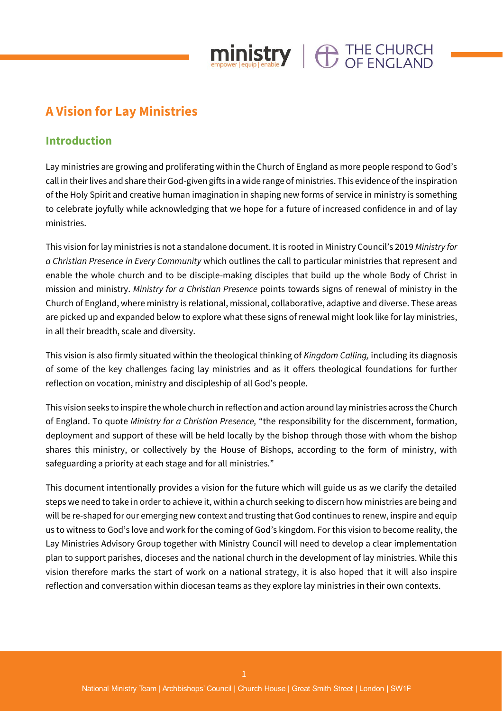## **A Vision for Lay Ministries**

#### **Introduction**

Lay ministries are growing and proliferating within the Church of England as more people respond to God's call in their lives and share their God-given gifts in a wide range of ministries. This evidence of the inspiration of the Holy Spirit and creative human imagination in shaping new forms of service in ministry is something to celebrate joyfully while acknowledging that we hope for a future of increased confidence in and of lay ministries.

 $\mathop{\hbox{ministry}}\limits_{\scriptscriptstyle{\text{empower level}}}\left\vert \bigoplus_{\scriptscriptstyle{\text{enable}}} \mathcal{I}^{\scriptscriptstyle{\text{HE CHURCH}}}$ 

This vision for lay ministries is not a standalone document. It is rooted in Ministry Council's 2019 *Ministry for a Christian Presence in Every Community* which outlines the call to particular ministries that represent and enable the whole church and to be disciple-making disciples that build up the whole Body of Christ in mission and ministry. *Ministry for a Christian Presence* points towards signs of renewal of ministry in the Church of England, where ministry is relational, missional, collaborative, adaptive and diverse. These areas are picked up and expanded below to explore what these signs of renewal might look like for lay ministries, in all their breadth, scale and diversity.

This vision is also firmly situated within the theological thinking of *Kingdom Calling,* including its diagnosis of some of the key challenges facing lay ministries and as it offers theological foundations for further reflection on vocation, ministry and discipleship of all God's people.

This vision seeks to inspire the whole church in reflection and action around lay ministries across the Church of England. To quote *Ministry for a Christian Presence,* "the responsibility for the discernment, formation, deployment and support of these will be held locally by the bishop through those with whom the bishop shares this ministry, or collectively by the House of Bishops, according to the form of ministry, with safeguarding a priority at each stage and for all ministries."

This document intentionally provides a vision for the future which will guide us as we clarify the detailed steps we need to take in order to achieve it, within a church seeking to discern how ministries are being and will be re-shaped for our emerging new context and trusting that God continues to renew, inspire and equip us to witness to God's love and work for the coming of God's kingdom. For this vision to become reality, the Lay Ministries Advisory Group together with Ministry Council will need to develop a clear implementation plan to support parishes, dioceses and the national church in the development of lay ministries. While this vision therefore marks the start of work on a national strategy, it is also hoped that it will also inspire reflection and conversation within diocesan teams as they explore lay ministries in their own contexts.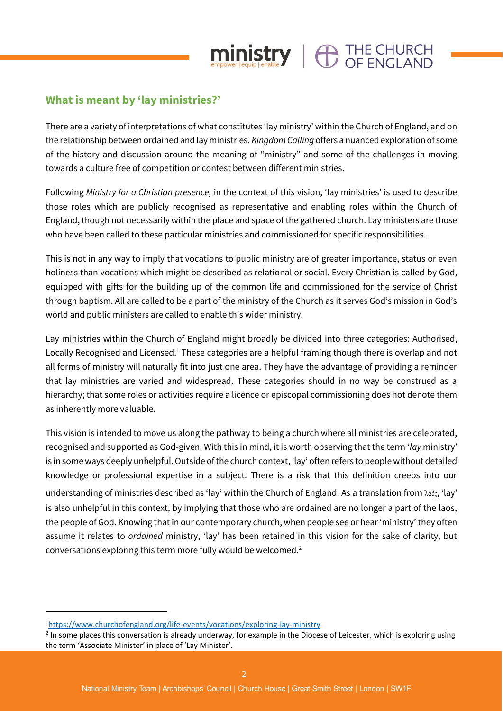

## **What is meant by 'lay ministries?'**

There are a variety of interpretations of what constitutes 'lay ministry' within the Church of England, and on the relationship between ordained and lay ministries. *Kingdom Calling* offers a nuanced exploration of some of the history and discussion around the meaning of "ministry" and some of the challenges in moving towards a culture free of competition or contest between different ministries.

Following *Ministry for a Christian presence,* in the context of this vision, 'lay ministries' is used to describe those roles which are publicly recognised as representative and enabling roles within the Church of England, though not necessarily within the place and space of the gathered church. Lay ministers are those who have been called to these particular ministries and commissioned for specific responsibilities.

This is not in any way to imply that vocations to public ministry are of greater importance, status or even holiness than vocations which might be described as relational or social. Every Christian is called by God, equipped with gifts for the building up of the common life and commissioned for the service of Christ through baptism. All are called to be a part of the ministry of the Church as it serves God's mission in God's world and public ministers are called to enable this wider ministry.

Lay ministries within the Church of England might broadly be divided into three categories: Authorised, Locally Recognised and Licensed.<sup>1</sup> These categories are a helpful framing though there is overlap and not all forms of ministry will naturally fit into just one area. They have the advantage of providing a reminder that lay ministries are varied and widespread. These categories should in no way be construed as a hierarchy; that some roles or activities require a licence or episcopal commissioning does not denote them as inherently more valuable.

This vision is intended to move us along the pathway to being a church where all ministries are celebrated, recognised and supported as God-given. With this in mind, it is worth observing that the term '*lay* ministry' is in some ways deeply unhelpful. Outside of the church context, 'lay' often refers to people without detailed knowledge or professional expertise in a subject. There is a risk that this definition creeps into our understanding of ministries described as 'lay' within the Church of England. As a translation from λαός, 'lay' is also unhelpful in this context, by implying that those who are ordained are no longer a part of the laos, the people of God. Knowing that in our contemporary church, when people see or hear 'ministry' they often assume it relates to *ordained* ministry, 'lay' has been retained in this vision for the sake of clarity, but conversations exploring this term more fully would be welcomed.<sup>2</sup>

<sup>1</sup><https://www.churchofengland.org/life-events/vocations/exploring-lay-ministry>

<sup>&</sup>lt;sup>2</sup> In some places this conversation is already underway, for example in the Diocese of Leicester, which is exploring using the term 'Associate Minister' in place of 'Lay Minister'.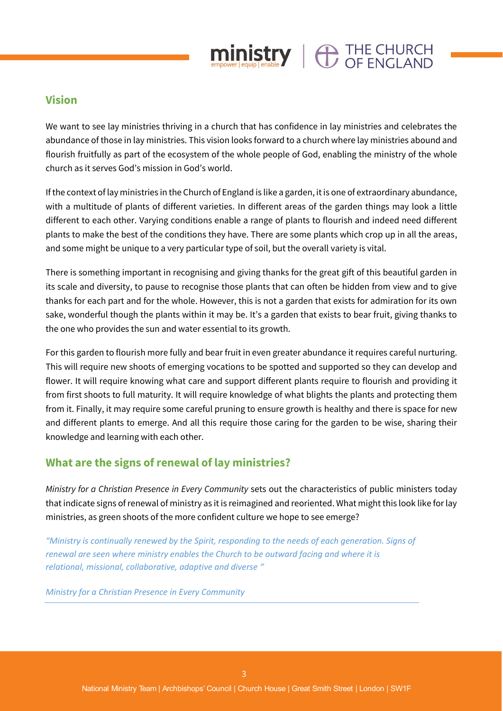

## **Vision**

We want to see lay ministries thriving in a church that has confidence in lay ministries and celebrates the abundance of those in lay ministries. This vision looks forward to a church where lay ministries abound and flourish fruitfully as part of the ecosystem of the whole people of God, enabling the ministry of the whole church as it serves God's mission in God's world.

If the context of lay ministries in the Church of England is like a garden, it is one of extraordinary abundance, with a multitude of plants of different varieties. In different areas of the garden things may look a little different to each other. Varying conditions enable a range of plants to flourish and indeed need different plants to make the best of the conditions they have. There are some plants which crop up in all the areas, and some might be unique to a very particular type of soil, but the overall variety is vital.

There is something important in recognising and giving thanks for the great gift of this beautiful garden in its scale and diversity, to pause to recognise those plants that can often be hidden from view and to give thanks for each part and for the whole. However, this is not a garden that exists for admiration for its own sake, wonderful though the plants within it may be. It's a garden that exists to bear fruit, giving thanks to the one who provides the sun and water essential to its growth.

For this garden to flourish more fully and bear fruit in even greater abundance it requires careful nurturing. This will require new shoots of emerging vocations to be spotted and supported so they can develop and flower. It will require knowing what care and support different plants require to flourish and providing it from first shoots to full maturity. It will require knowledge of what blights the plants and protecting them from it. Finally, it may require some careful pruning to ensure growth is healthy and there is space for new and different plants to emerge. And all this require those caring for the garden to be wise, sharing their knowledge and learning with each other.

## **What are the signs of renewal of lay ministries?**

*Ministry for a Christian Presence in Every Community* sets out the characteristics of public ministers today that indicate signs of renewal of ministry as it is reimagined and reoriented. What might this look like for lay ministries, as green shoots of the more confident culture we hope to see emerge?

*"Ministry is continually renewed by the Spirit, responding to the needs of each generation. Signs of renewal are seen where ministry enables the Church to be outward facing and where it is relational, missional, collaborative, adaptive and diverse "*

*Ministry for a Christian Presence in Every Community*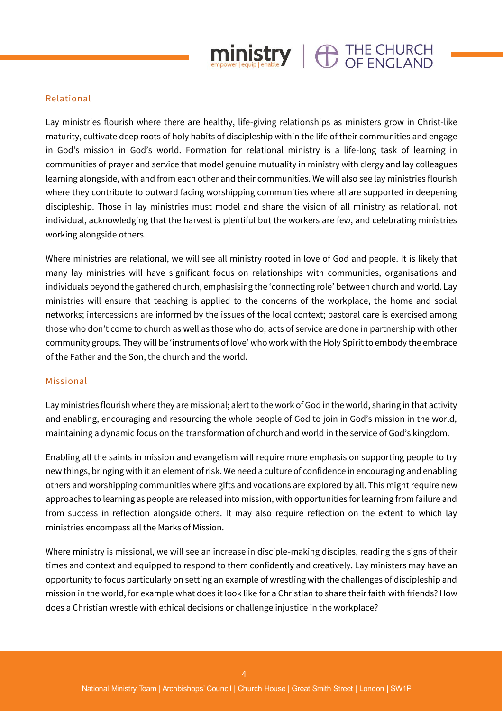

#### Relational

Lay ministries flourish where there are healthy, life-giving relationships as ministers grow in Christ-like maturity, cultivate deep roots of holy habits of discipleship within the life of their communities and engage in God's mission in God's world. Formation for relational ministry is a life-long task of learning in communities of prayer and service that model genuine mutuality in ministry with clergy and lay colleagues learning alongside, with and from each other and their communities. We will also see lay ministries flourish where they contribute to outward facing worshipping communities where all are supported in deepening discipleship. Those in lay ministries must model and share the vision of all ministry as relational, not individual, acknowledging that the harvest is plentiful but the workers are few, and celebrating ministries working alongside others.

Where ministries are relational, we will see all ministry rooted in love of God and people. It is likely that many lay ministries will have significant focus on relationships with communities, organisations and individuals beyond the gathered church, emphasising the 'connecting role' between church and world. Lay ministries will ensure that teaching is applied to the concerns of the workplace, the home and social networks; intercessions are informed by the issues of the local context; pastoral care is exercised among those who don't come to church as well as those who do; acts of service are done in partnership with other community groups. They will be 'instruments of love' who work with the Holy Spirit to embody the embrace of the Father and the Son, the church and the world.

#### Missional

Lay ministries flourish where they are missional; alert to the work of God in the world, sharing in that activity and enabling, encouraging and resourcing the whole people of God to join in God's mission in the world, maintaining a dynamic focus on the transformation of church and world in the service of God's kingdom.

Enabling all the saints in mission and evangelism will require more emphasis on supporting people to try new things, bringing with it an element of risk. We need a culture of confidence in encouraging and enabling others and worshipping communities where gifts and vocations are explored by all. This might require new approaches to learning as people are released into mission, with opportunities for learning from failure and from success in reflection alongside others. It may also require reflection on the extent to which lay ministries encompass all the Marks of Mission.

Where ministry is missional, we will see an increase in disciple-making disciples, reading the signs of their times and context and equipped to respond to them confidently and creatively. Lay ministers may have an opportunity to focus particularly on setting an example of wrestling with the challenges of discipleship and mission in the world, for example what does it look like for a Christian to share their faith with friends? How does a Christian wrestle with ethical decisions or challenge injustice in the workplace?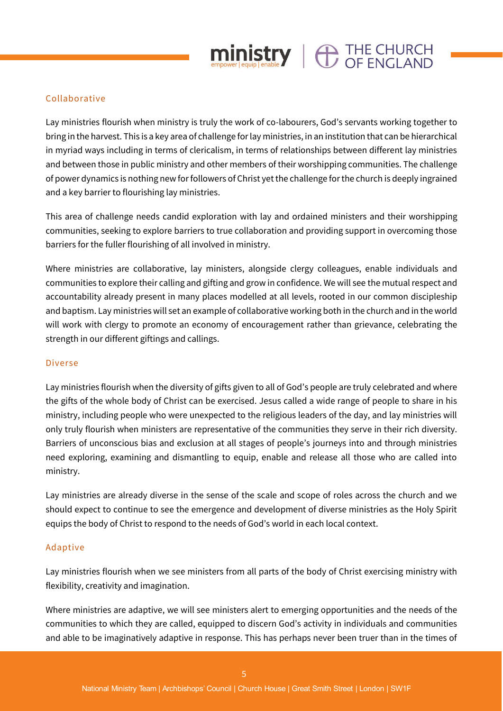# $\mathop{\text{min}}_{\text{smooth}}$   $\mathop{\text{error}}_{\text{label}}$   $\mathop{\text{error}}_{\text{label}}$   $\mathop{\text{error}}_{\text{label}}$

#### Collaborative

Lay ministries flourish when ministry is truly the work of co-labourers, God's servants working together to bring in the harvest. This is a key area of challenge for lay ministries, in an institution that can be hierarchical in myriad ways including in terms of clericalism, in terms of relationships between different lay ministries and between those in public ministry and other members of their worshipping communities. The challenge of power dynamics is nothing new for followers of Christ yet the challenge for the church is deeply ingrained and a key barrier to flourishing lay ministries.

This area of challenge needs candid exploration with lay and ordained ministers and their worshipping communities, seeking to explore barriers to true collaboration and providing support in overcoming those barriers for the fuller flourishing of all involved in ministry.

Where ministries are collaborative, lay ministers, alongside clergy colleagues, enable individuals and communities to explore their calling and gifting and grow in confidence. We will see the mutual respect and accountability already present in many places modelled at all levels, rooted in our common discipleship and baptism. Lay ministries will set an example of collaborative working both in the church and in the world will work with clergy to promote an economy of encouragement rather than grievance, celebrating the strength in our different giftings and callings.

#### Diverse

Lay ministries flourish when the diversity of gifts given to all of God's people are truly celebrated and where the gifts of the whole body of Christ can be exercised. Jesus called a wide range of people to share in his ministry, including people who were unexpected to the religious leaders of the day, and lay ministries will only truly flourish when ministers are representative of the communities they serve in their rich diversity. Barriers of unconscious bias and exclusion at all stages of people's journeys into and through ministries need exploring, examining and dismantling to equip, enable and release all those who are called into ministry.

Lay ministries are already diverse in the sense of the scale and scope of roles across the church and we should expect to continue to see the emergence and development of diverse ministries as the Holy Spirit equips the body of Christ to respond to the needs of God's world in each local context.

#### Adaptive

Lay ministries flourish when we see ministers from all parts of the body of Christ exercising ministry with flexibility, creativity and imagination.

Where ministries are adaptive, we will see ministers alert to emerging opportunities and the needs of the communities to which they are called, equipped to discern God's activity in individuals and communities and able to be imaginatively adaptive in response. This has perhaps never been truer than in the times of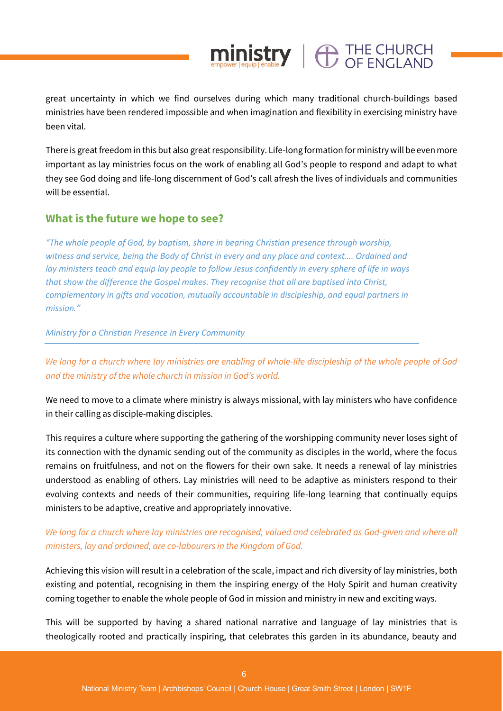great uncertainty in which we find ourselves during which many traditional church-buildings based ministries have been rendered impossible and when imagination and flexibility in exercising ministry have been vital.

 $ministry \mid \bigoplus_{\text{OF ENCI AND}}$ 

There is great freedom in this but also great responsibility. Life-long formation for ministry will be even more important as lay ministries focus on the work of enabling all God's people to respond and adapt to what they see God doing and life-long discernment of God's call afresh the lives of individuals and communities will be essential.

#### **What is the future we hope to see?**

*"The whole people of God, by baptism, share in bearing Christian presence through worship, witness and service, being the Body of Christ in every and any place and context…. Ordained and lay ministers teach and equip lay people to follow Jesus confidently in every sphere of life in ways that show the difference the Gospel makes. They recognise that all are baptised into Christ, complementary in gifts and vocation, mutually accountable in discipleship, and equal partners in mission."*

*Ministry for a Christian Presence in Every Community*

*We long for a church where lay ministries are enabling of whole-life discipleship of the whole people of God and the ministry of the whole church in mission in God's world.*

We need to move to a climate where ministry is always missional, with lay ministers who have confidence in their calling as disciple-making disciples.

This requires a culture where supporting the gathering of the worshipping community never loses sight of its connection with the dynamic sending out of the community as disciples in the world, where the focus remains on fruitfulness, and not on the flowers for their own sake. It needs a renewal of lay ministries understood as enabling of others. Lay ministries will need to be adaptive as ministers respond to their evolving contexts and needs of their communities, requiring life-long learning that continually equips ministers to be adaptive, creative and appropriately innovative.

#### *We long for a church where lay ministries are recognised, valued and celebrated as God-given and where all ministers, lay and ordained, are co-labourers in the Kingdom of God.*

Achieving this vision will result in a celebration of the scale, impact and rich diversity of lay ministries, both existing and potential, recognising in them the inspiring energy of the Holy Spirit and human creativity coming together to enable the whole people of God in mission and ministry in new and exciting ways.

This will be supported by having a shared national narrative and language of lay ministries that is theologically rooted and practically inspiring, that celebrates this garden in its abundance, beauty and